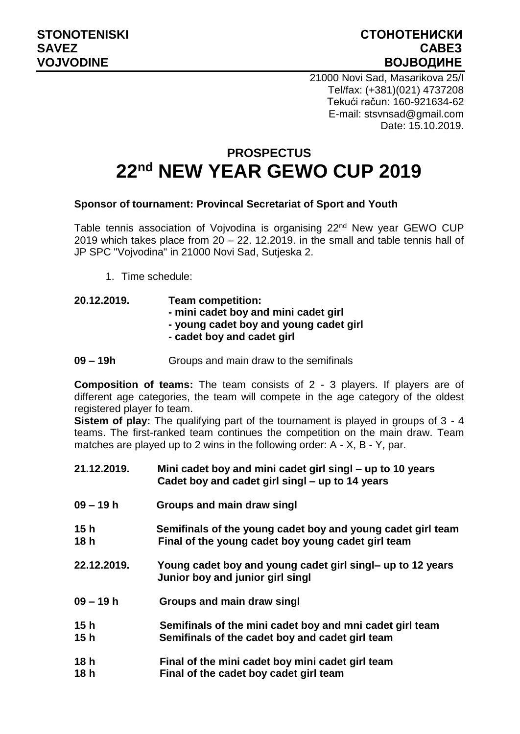## **STONOTENISKI СТОНОТЕНИСКИ SAVEZ САВЕЗ VOJVODINE ВОЈВОДИНЕ**

21000 Novi Sad, Masarikova 25/I Tel/fax: (+381)(021) 4737208 Tekući račun: 160-921634-62 E-mail: stsvnsad@gmail.com Date: 15.10.2019.

## **PROSPECTUS 22nd NEW YEAR GEWO CUP 2019**

## **Sponsor of tournament: Provincal Secretariat of Sport and Youth**

Table tennis association of Vojvodina is organising 22<sup>nd</sup> New year GEWO CUP 2019 which takes place from  $20 - 22$ . 12.2019. in the small and table tennis hall of JP SPC "Vojvodina" in 21000 Novi Sad, Sutjeska 2.

1. Time schedule:

## **20.12.2019. Team competition: - mini cadet boy and mini cadet girl - young cadet boy and young cadet girl - cadet boy and cadet girl**

**09 – 19h** Groups and main draw to the semifinals

**Composition of teams:** The team consists of 2 - 3 players. If players are of different age categories, the team will compete in the age category of the oldest registered player fo team.

**Sistem of play:** The qualifying part of the tournament is played in groups of 3 - 4 teams. The first-ranked team continues the competition on the main draw. Team matches are played up to 2 wins in the following order: A - X, B - Y, par.

| 21.12.2019.  | Mini cadet boy and mini cadet girl singl – up to 10 years<br>Cadet boy and cadet girl singl - up to 14 years      |
|--------------|-------------------------------------------------------------------------------------------------------------------|
| 09 – 19 h    | Groups and main draw singl                                                                                        |
| 15 h<br>18 h | Semifinals of the young cadet boy and young cadet girl team<br>Final of the young cadet boy young cadet girl team |
| 22.12.2019.  | Young cadet boy and young cadet girl singl- up to 12 years<br>Junior boy and junior girl singl                    |
| 09 – 19 h    | Groups and main draw singl                                                                                        |
| 15 h<br>15 h | Semifinals of the mini cadet boy and mni cadet girl team<br>Semifinals of the cadet boy and cadet girl team       |
| 18h<br>18h   | Final of the mini cadet boy mini cadet girl team<br>Final of the cadet boy cadet girl team                        |